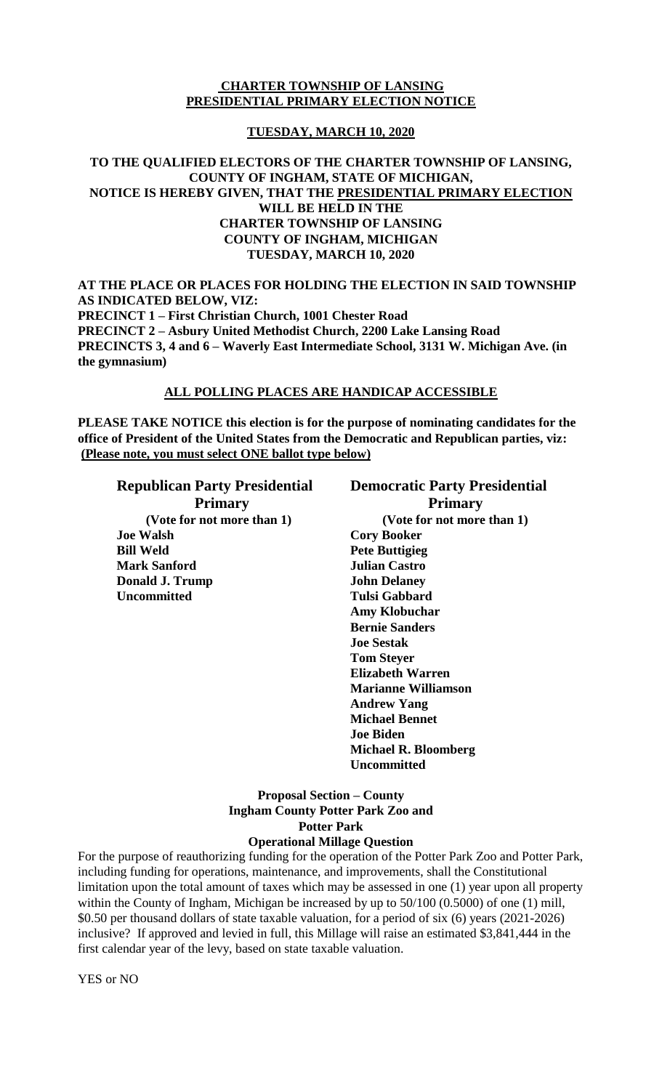# **CHARTER TOWNSHIP OF LANSING PRESIDENTIAL PRIMARY ELECTION NOTICE**

# **TUESDAY, MARCH 10, 2020**

# **TO THE QUALIFIED ELECTORS OF THE CHARTER TOWNSHIP OF LANSING, COUNTY OF INGHAM, STATE OF MICHIGAN, NOTICE IS HEREBY GIVEN, THAT THE PRESIDENTIAL PRIMARY ELECTION WILL BE HELD IN THE CHARTER TOWNSHIP OF LANSING COUNTY OF INGHAM, MICHIGAN TUESDAY, MARCH 10, 2020**

**AT THE PLACE OR PLACES FOR HOLDING THE ELECTION IN SAID TOWNSHIP AS INDICATED BELOW, VIZ: PRECINCT 1 – First Christian Church, 1001 Chester Road PRECINCT 2 – Asbury United Methodist Church, 2200 Lake Lansing Road PRECINCTS 3, 4 and 6 – Waverly East Intermediate School, 3131 W. Michigan Ave. (in the gymnasium)**

### **ALL POLLING PLACES ARE HANDICAP ACCESSIBLE**

**PLEASE TAKE NOTICE this election is for the purpose of nominating candidates for the office of President of the United States from the Democratic and Republican parties, viz: (Please note, you must select ONE ballot type below)**

**Joe Walsh Cory Booker Bill Weld Pete Buttigieg Mark Sanford Julian Castro Donald J. Trump John Delaney Uncommitted Tulsi Gabbard**

# **Republican Party Presidential Democratic Party Presidential Primary Primary (Vote for not more than 1) (Vote for not more than 1) Amy Klobuchar Bernie Sanders Joe Sestak Tom Steyer Elizabeth Warren Marianne Williamson Andrew Yang Michael Bennet Joe Biden Michael R. Bloomberg Uncommitted**

# **Proposal Section – County Ingham County Potter Park Zoo and Potter Park**

# **Operational Millage Question**

For the purpose of reauthorizing funding for the operation of the Potter Park Zoo and Potter Park, including funding for operations, maintenance, and improvements, shall the Constitutional limitation upon the total amount of taxes which may be assessed in one (1) year upon all property within the County of Ingham, Michigan be increased by up to 50/100 (0.5000) of one (1) mill, \$0.50 per thousand dollars of state taxable valuation, for a period of six (6) years (2021-2026) inclusive? If approved and levied in full, this Millage will raise an estimated \$3,841,444 in the first calendar year of the levy, based on state taxable valuation.

YES or NO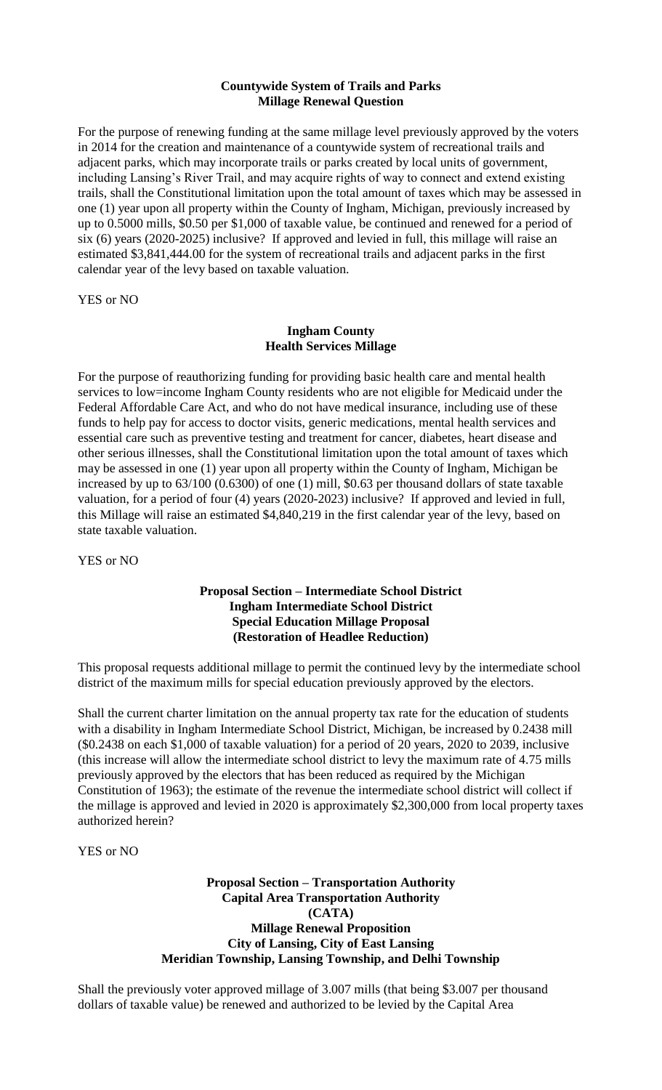# **Countywide System of Trails and Parks Millage Renewal Question**

For the purpose of renewing funding at the same millage level previously approved by the voters in 2014 for the creation and maintenance of a countywide system of recreational trails and adjacent parks, which may incorporate trails or parks created by local units of government, including Lansing's River Trail, and may acquire rights of way to connect and extend existing trails, shall the Constitutional limitation upon the total amount of taxes which may be assessed in one (1) year upon all property within the County of Ingham, Michigan, previously increased by up to 0.5000 mills, \$0.50 per \$1,000 of taxable value, be continued and renewed for a period of six (6) years (2020-2025) inclusive? If approved and levied in full, this millage will raise an estimated \$3,841,444.00 for the system of recreational trails and adjacent parks in the first calendar year of the levy based on taxable valuation.

YES or NO

# **Ingham County Health Services Millage**

For the purpose of reauthorizing funding for providing basic health care and mental health services to low=income Ingham County residents who are not eligible for Medicaid under the Federal Affordable Care Act, and who do not have medical insurance, including use of these funds to help pay for access to doctor visits, generic medications, mental health services and essential care such as preventive testing and treatment for cancer, diabetes, heart disease and other serious illnesses, shall the Constitutional limitation upon the total amount of taxes which may be assessed in one (1) year upon all property within the County of Ingham, Michigan be increased by up to 63/100 (0.6300) of one (1) mill, \$0.63 per thousand dollars of state taxable valuation, for a period of four (4) years (2020-2023) inclusive? If approved and levied in full, this Millage will raise an estimated \$4,840,219 in the first calendar year of the levy, based on state taxable valuation.

YES or NO

# **Proposal Section – Intermediate School District Ingham Intermediate School District Special Education Millage Proposal (Restoration of Headlee Reduction)**

This proposal requests additional millage to permit the continued levy by the intermediate school district of the maximum mills for special education previously approved by the electors.

Shall the current charter limitation on the annual property tax rate for the education of students with a disability in Ingham Intermediate School District, Michigan, be increased by 0.2438 mill (\$0.2438 on each \$1,000 of taxable valuation) for a period of 20 years, 2020 to 2039, inclusive (this increase will allow the intermediate school district to levy the maximum rate of 4.75 mills previously approved by the electors that has been reduced as required by the Michigan Constitution of 1963); the estimate of the revenue the intermediate school district will collect if the millage is approved and levied in 2020 is approximately \$2,300,000 from local property taxes authorized herein?

YES or NO

# **Proposal Section – Transportation Authority Capital Area Transportation Authority (CATA) Millage Renewal Proposition City of Lansing, City of East Lansing Meridian Township, Lansing Township, and Delhi Township**

Shall the previously voter approved millage of 3.007 mills (that being \$3.007 per thousand dollars of taxable value) be renewed and authorized to be levied by the Capital Area